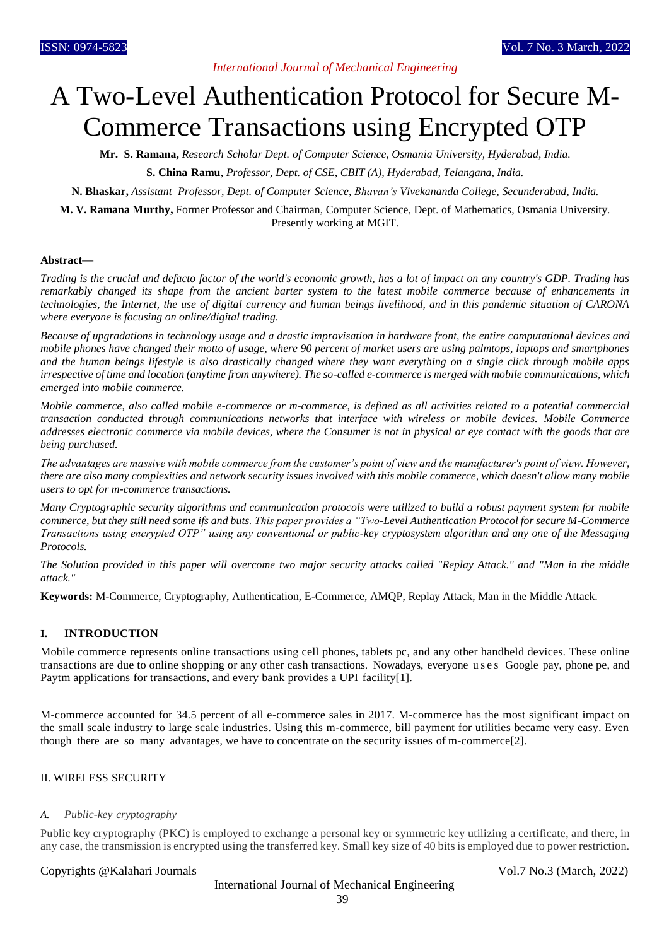# *International Journal of Mechanical Engineering*

# A Two-Level Authentication Protocol for Secure M-Commerce Transactions using Encrypted OTP

**Mr. S. Ramana,** *Research Scholar Dept. of Computer Science, Osmania University, Hyderabad, India.*

**S. China Ramu**, *Professor, Dept. of CSE, CBIT (A), Hyderabad, Telangana, India.*

**N. Bhaskar,** *Assistant Professor, Dept. of Computer Science, Bhavan's Vivekananda College, Secunderabad, India.*

**M. V. Ramana Murthy,** Former Professor and Chairman, Computer Science, Dept. of Mathematics, Osmania University. Presently working at MGIT.

#### **Abstract—**

*Trading is the crucial and defacto factor of the world's economic growth, has a lot of impact on any country's GDP. Trading has remarkably changed its shape from the ancient barter system to the latest mobile commerce because of enhancements in technologies, the Internet, the use of digital currency and human beings livelihood, and in this pandemic situation of CARONA where everyone is focusing on online/digital trading.*

*Because of upgradations in technology usage and a drastic improvisation in hardware front, the entire computational devices and mobile phones have changed their motto of usage, where 90 percent of market users are using palmtops, laptops and smartphones and the human beings lifestyle is also drastically changed where they want everything on a single click through mobile apps irrespective of time and location (anytime from anywhere). The so-called e-commerce is merged with mobile communications, which emerged into mobile commerce.*

*Mobile commerce, also called mobile e-commerce or m-commerce, is defined as all activities related to a potential commercial transaction conducted through communications networks that interface with wireless or mobile devices. Mobile Commerce addresses electronic commerce via mobile devices, where the Consumer is not in physical or eye contact with the goods that are being purchased.*

*The advantages are massive with mobile commerce from the customer's point of view and the manufacturer's point of view. However, there are also many complexities and network security issues involved with this mobile commerce, which doesn't allow many mobile users to opt for m-commerce transactions.*

*Many Cryptographic security algorithms and communication protocols were utilized to build a robust payment system for mobile commerce, but they still need some ifs and buts. This paper provides a "Two-Level Authentication Protocol for secure M-Commerce Transactions using encrypted OTP" using any conventional or public-key cryptosystem algorithm and any one of the Messaging Protocols.*

*The Solution provided in this paper will overcome two major security attacks called "Replay Attack." and "Man in the middle attack."*

**Keywords:** M-Commerce, Cryptography, Authentication, E-Commerce, AMQP, Replay Attack, Man in the Middle Attack.

## **I. INTRODUCTION**

Mobile commerce represents online transactions using cell phones, tablets pc, and any other handheld devices. These online transactions are due to online shopping or any other cash transactions. Nowadays, everyone u s e s Google pay, phone pe, and Paytm applications for transactions, and every bank provides a UPI facility[1].

M-commerce accounted for 34.5 percent of all e-commerce sales in 2017. M-commerce has the most significant impact on the small scale industry to large scale industries. Using this m-commerce, bill payment for utilities became very easy. Even though there are so many advantages, we have to concentrate on the security issues of m-commerce[2].

#### II. WIRELESS SECURITY

#### *A. Public-key cryptography*

Public key cryptography (PKC) is employed to exchange a personal key or symmetric key utilizing a certificate, and there, in any case, the transmission is encrypted using the transferred key. Small key size of 40 bits is employed due to power restriction.

#### Copyrights @Kalahari Journals Vol.7 No.3 (March, 2022)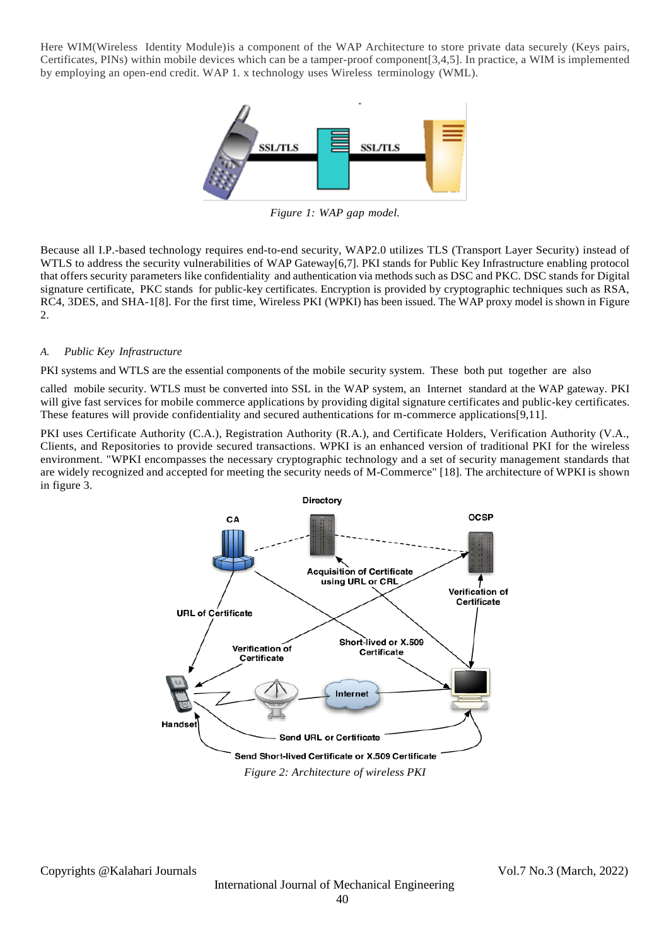Here WIM(Wireless Identity Module)is a component of the WAP Architecture to store private data securely (Keys pairs, Certificates, PINs) within mobile devices which can be a tamper-proof component[3,4,5]. In practice, a WIM is implemented by employing an open-end credit. WAP 1. x technology uses Wireless terminology (WML).



*Figure 1: WAP gap model.*

Because all I.P.-based technology requires end-to-end security, WAP2.0 utilizes TLS (Transport Layer Security) instead of WTLS to address the security vulnerabilities of WAP Gateway[6,7]. PKI stands for Public Key Infrastructure enabling protocol that offers security parameters like confidentiality and authentication via methods such as DSC and PKC. DSC stands for Digital signature certificate, PKC stands for public-key certificates. Encryption is provided by cryptographic techniques such as RSA, RC4, 3DES, and SHA-1[8]. For the first time, Wireless PKI (WPKI) has been issued. The WAP proxy model is shown in Figure 2.

# *A. Public Key Infrastructure*

PKI systems and WTLS are the essential components of the mobile security system. These both put together are also

called mobile security. WTLS must be converted into SSL in the WAP system, an Internet standard at the WAP gateway. PKI will give fast services for mobile commerce applications by providing digital signature certificates and public-key certificates. These features will provide confidentiality and secured authentications for m-commerce applications[9,11].

PKI uses Certificate Authority (C.A.), Registration Authority (R.A.), and Certificate Holders, Verification Authority (V.A., Clients, and Repositories to provide secured transactions. WPKI is an enhanced version of traditional PKI for the wireless environment. "WPKI encompasses the necessary cryptographic technology and a set of security management standards that are widely recognized and accepted for meeting the security needs of M-Commerce" [18]. The architecture of WPKI is shown in figure 3.

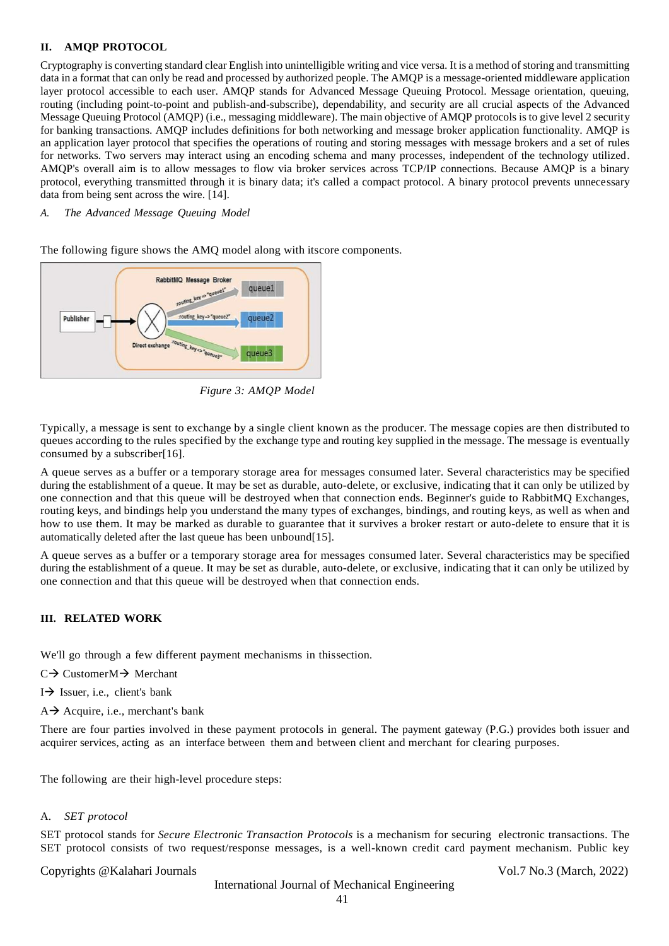## **II. AMQP PROTOCOL**

Cryptography is converting standard clear English into unintelligible writing and vice versa. It is a method of storing and transmitting data in a format that can only be read and processed by authorized people. The AMQP is a message-oriented middleware application layer protocol accessible to each user. AMQP stands for Advanced Message Queuing Protocol. Message orientation, queuing, routing (including point-to-point and publish-and-subscribe), dependability, and security are all crucial aspects of the Advanced Message Queuing Protocol (AMQP) (i.e., messaging middleware). The main objective of AMQP protocols is to give level 2 security for banking transactions. AMQP includes definitions for both networking and message broker application functionality. AMQP is an application layer protocol that specifies the operations of routing and storing messages with message brokers and a set of rules for networks. Two servers may interact using an encoding schema and many processes, independent of the technology utilized. AMQP's overall aim is to allow messages to flow via broker services across TCP/IP connections. Because AMQP is a binary protocol, everything transmitted through it is binary data; it's called a compact protocol. A binary protocol prevents unnecessary data from being sent across the wire. [14].

*A. The Advanced Message Queuing Model*

The following figure shows the AMQ model along with itscore components.



 *Figure 3: AMQP Model*

Typically, a message is sent to exchange by a single client known as the producer. The message copies are then distributed to queues according to the rules specified by the exchange type and routing key supplied in the message. The message is eventually consumed by a subscriber[16].

A queue serves as a buffer or a temporary storage area for messages consumed later. Several characteristics may be specified during the establishment of a queue. It may be set as durable, auto-delete, or exclusive, indicating that it can only be utilized by one connection and that this queue will be destroyed when that connection ends. Beginner's guide to RabbitMQ Exchanges, routing keys, and bindings help you understand the many types of exchanges, bindings, and routing keys, as well as when and how to use them. It may be marked as durable to guarantee that it survives a broker restart or auto-delete to ensure that it is automatically deleted after the last queue has been unbound[15].

A queue serves as a buffer or a temporary storage area for messages consumed later. Several characteristics may be specified during the establishment of a queue. It may be set as durable, auto-delete, or exclusive, indicating that it can only be utilized by one connection and that this queue will be destroyed when that connection ends.

#### **III. RELATED WORK**

We'll go through a few different payment mechanisms in thissection.

 $C \rightarrow$  Customer $M \rightarrow$  Merchant

 $I \rightarrow$  Issuer, i.e., client's bank

 $A \rightarrow$  Acquire, i.e., merchant's bank

There are four parties involved in these payment protocols in general. The payment gateway (P.G.) provides both issuer and acquirer services, acting as an interface between them and between client and merchant for clearing purposes.

The following are their high-level procedure steps:

#### A. *SET protocol*

SET protocol stands for *Secure Electronic Transaction Protocols* is a mechanism for securing electronic transactions. The SET protocol consists of two request/response messages, is a well-known credit card payment mechanism. Public key

#### Copyrights @Kalahari Journals Vol.7 No.3 (March, 2022)

International Journal of Mechanical Engineering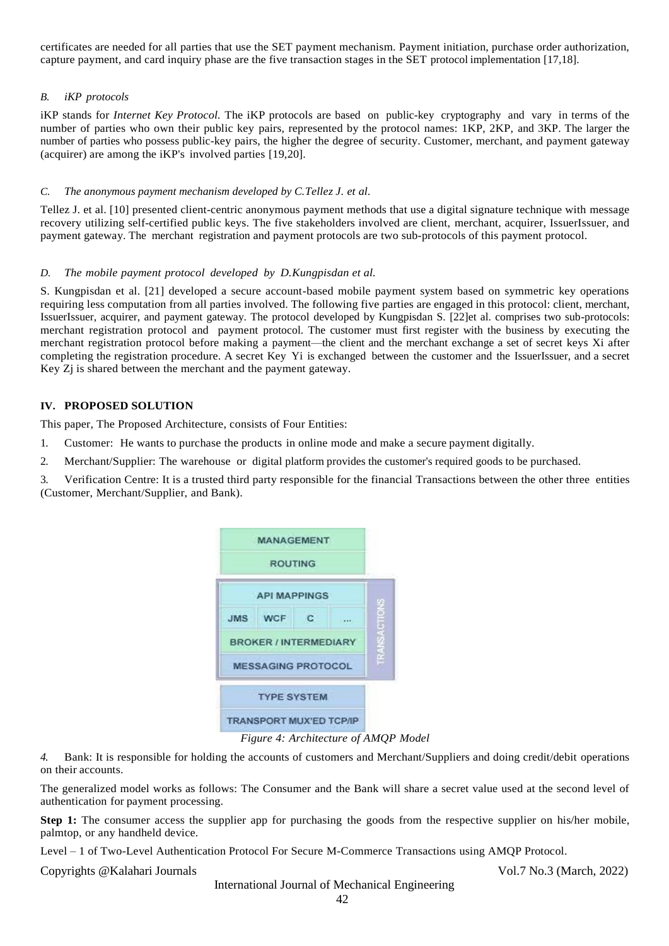certificates are needed for all parties that use the SET payment mechanism. Payment initiation, purchase order authorization, capture payment, and card inquiry phase are the five transaction stages in the SET protocol implementation [17,18].

## *B. iKP protocols*

iKP stands for *Internet Key Protocol.* The iKP protocols are based on public-key cryptography and vary in terms of the number of parties who own their public key pairs, represented by the protocol names: 1KP, 2KP, and 3KP. The larger the number of parties who possess public-key pairs, the higher the degree of security. Customer, merchant, and payment gateway (acquirer) are among the iKP's involved parties [19,20].

## *C. The anonymous payment mechanism developed by C.Tellez J. et al.*

Tellez J. et al. [10] presented client-centric anonymous payment methods that use a digital signature technique with message recovery utilizing self-certified public keys. The five stakeholders involved are client, merchant, acquirer, IssuerIssuer, and payment gateway. The merchant registration and payment protocols are two sub-protocols of this payment protocol.

# *D. The mobile payment protocol developed by D.Kungpisdan et al.*

S. Kungpisdan et al. [21] developed a secure account-based mobile payment system based on symmetric key operations requiring less computation from all parties involved. The following five parties are engaged in this protocol: client, merchant, IssuerIssuer, acquirer, and payment gateway. The protocol developed by Kungpisdan S. [22]et al. comprises two sub-protocols: merchant registration protocol and payment protocol. The customer must first register with the business by executing the merchant registration protocol before making a payment—the client and the merchant exchange a set of secret keys Xi after completing the registration procedure. A secret Key Yi is exchanged between the customer and the IssuerIssuer, and a secret Key Zj is shared between the merchant and the payment gateway.

# **IV. PROPOSED SOLUTION**

This paper, The Proposed Architecture, consists of Four Entities:

- 1. Customer: He wants to purchase the products in online mode and make a secure payment digitally.
- 2. Merchant/Supplier: The warehouse or digital platform provides the customer's required goods to be purchased.

3. Verification Centre: It is a trusted third party responsible for the financial Transactions between the other three entities (Customer, Merchant/Supplier, and Bank).

|                              | <b>MANAGEMENT</b><br><b>ROUTING</b> |              |  |         |
|------------------------------|-------------------------------------|--------------|--|---------|
| <b>API MAPPINGS</b>          |                                     |              |  |         |
|                              | JMS WCF                             | $\mathbf{C}$ |  | ACTIONS |
| <b>BROKER / INTERMEDIARY</b> |                                     |              |  |         |
| <b>MESSAGING PROTOCOL</b>    |                                     |              |  |         |
|                              | <b>TYPE SYSTEM</b>                  |              |  |         |
|                              | <b>TRANSPORT MUX'ED TCP/IP</b>      |              |  |         |

*Figure 4: Architecture of AMQP Model*

*4.* Bank: It is responsible for holding the accounts of customers and Merchant/Suppliers and doing credit/debit operations on their accounts.

The generalized model works as follows: The Consumer and the Bank will share a secret value used at the second level of authentication for payment processing.

**Step 1:** The consumer access the supplier app for purchasing the goods from the respective supplier on his/her mobile, palmtop, or any handheld device.

Level – 1 of Two-Level Authentication Protocol For Secure M-Commerce Transactions using AMQP Protocol.

Copyrights @Kalahari Journals Vol.7 No.3 (March, 2022)

International Journal of Mechanical Engineering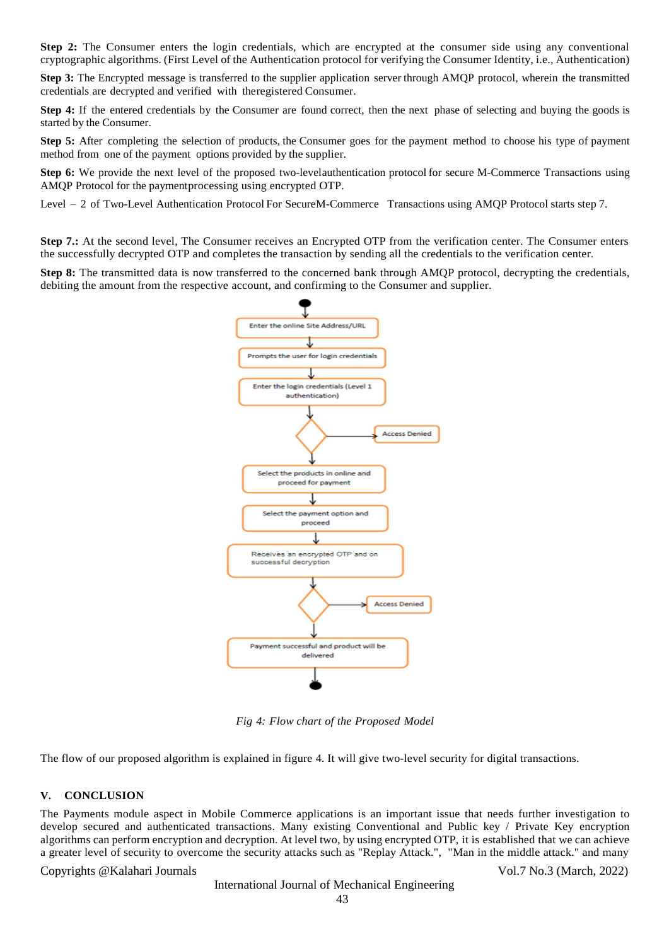**Step 2:** The Consumer enters the login credentials, which are encrypted at the consumer side using any conventional cryptographic algorithms. (First Level of the Authentication protocol for verifying the Consumer Identity, i.e., Authentication)

**Step 3:** The Encrypted message is transferred to the supplier application server through AMQP protocol, wherein the transmitted credentials are decrypted and verified with theregistered Consumer.

**Step 4:** If the entered credentials by the Consumer are found correct, then the next phase of selecting and buying the goods is started by the Consumer.

**Step 5:** After completing the selection of products, the Consumer goes for the payment method to choose his type of payment method from one of the payment options provided by the supplier.

**Step 6:** We provide the next level of the proposed two-levelauthentication protocol for secure M-Commerce Transactions using AMQP Protocol for the paymentprocessing using encrypted OTP.

Level – 2 of Two-Level Authentication Protocol For SecureM-Commerce Transactions using AMQP Protocol starts step 7.

**Step 7.:** At the second level, The Consumer receives an Encrypted OTP from the verification center. The Consumer enters the successfully decrypted OTP and completes the transaction by sending all the credentials to the verification center.

**Step 8:** The transmitted data is now transferred to the concerned bank through AMQP protocol, decrypting the credentials, debiting the amount from the respective account, and confirming to the Consumer and supplier.



*Fig 4: Flow chart of the Proposed Model*

The flow of our proposed algorithm is explained in figure 4. It will give two-level security for digital transactions.

#### **V. CONCLUSION**

The Payments module aspect in Mobile Commerce applications is an important issue that needs further investigation to develop secured and authenticated transactions. Many existing Conventional and Public key / Private Key encryption algorithms can perform encryption and decryption. At level two, by using encrypted OTP, it is established that we can achieve a greater level of security to overcome the security attacks such as "Replay Attack.", "Man in the middle attack." and many

Copyrights @Kalahari Journals Vol.7 No.3 (March, 2022)

International Journal of Mechanical Engineering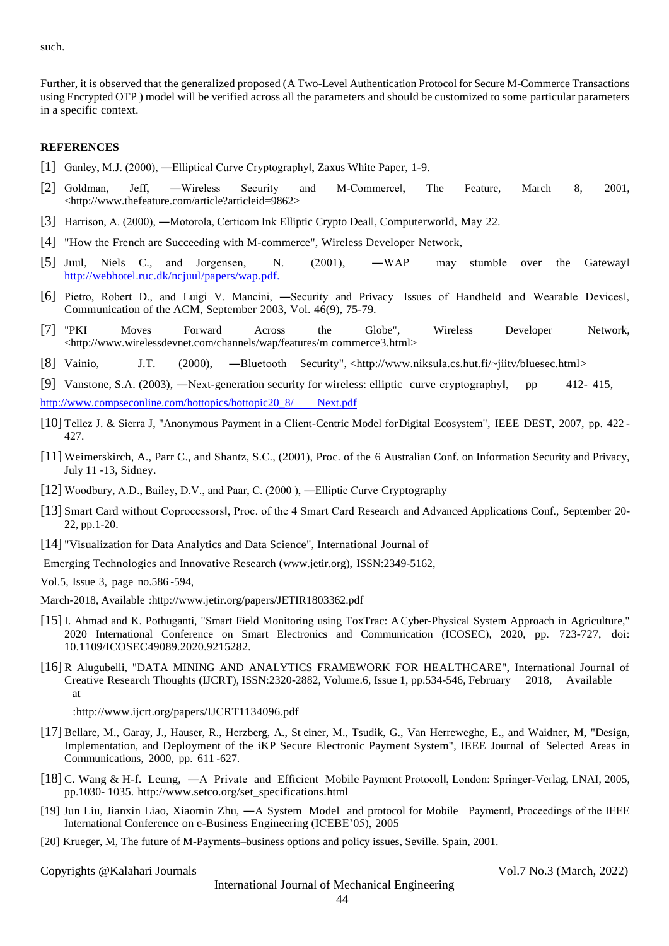such.

Further, it is observed that the generalized proposed (A Two-Level Authentication Protocol for Secure M-Commerce Transactions using Encrypted OTP ) model will be verified across all the parameters and should be customized to some particular parameters in a specific context.

#### **REFERENCES**

- [1] Ganley, M.J. (2000), —Elliptical Curve Cryptographyl, Zaxus White Paper, 1-9.
- [2] Goldman, Jeff, -Wireless Security and M-Commercel, The Feature, March 8, 2001, [<http://www.thefeature.com/article?articleid=9862>](http://www.thefeature.com/article?articleid=9862)
- [3] Harrison, A. (2000), —Motorola, Certicom Ink Elliptic Crypto Deall, Computerworld, May 22.
- [4] "How the French are Succeeding with M-commerce", Wireless Developer Network,
- [5] Juul, Niels C., and Jorgensen, N. (2001), ―WAP may stumble over the Gatewa[y‖](http://webhotel.ruc.dk/ncjuul/papers/wap.pdf) [http://webhotel.ruc.dk/ncjuul/papers/wap.p](http://webhotel.ruc.dk/ncjuul/papers/wap.pdf)df.
- [6] Pietro, Robert D., and Luigi V. Mancini, ―Security and Privacy Issues of Handheld and Wearable Devices‖, Communication of the ACM, September 2003, Vol. 46(9), 75-79.
- [7] "PKI Moves Forward Across the Globe", Wireless Developer Network, [<http://www.wirelessdevnet.com/channels/wap/features/m](http://www.wirelessdevnet.com/channels/wap/features/m) commerce3.html>
- [8] Vainio, J.T. (2000), ―Bluetooth Security", [<http://www.niksula.cs.hut.fi/~jiitv/bluesec.html>](http://www.niksula.cs.hut.fi/~jiitv/bluesec.html)
- [9] Vanstone, S.A. (2003), —Next-generation security for wireless: elliptic curve cryptographyl, pp 412- 415,

[http://www.compseconline.com/hottopics/hottopic20\\_8/ Next](http://www.compseconline.com/hottopics/hottopic20_8/%20Next.pdf).pdf

- [10] Tellez J. & Sierra J, "Anonymous Payment in a Client-Centric Model forDigital Ecosystem", IEEE DEST, 2007, pp. 422 427.
- [11] Weimerskirch, A., Parr C., and Shantz, S.C., (2001), Proc. of the 6 Australian Conf. on Information Security and Privacy, July 11 -13, Sidney.
- [12] Woodbury, A.D., Bailey, D.V., and Paar, C. (2000 ), ―Elliptic Curve Cryptography
- [13] Smart Card without Coprocessors], Proc. of the 4 Smart Card Research and Advanced Applications Conf., September 20-22, pp.1-20.
- [14] "Visualization for Data Analytics and Data Science", International Journal of
- Emerging Technologies and Innovative Research (www.jetir.org), ISSN:2349-5162,
- Vol.5, Issue 3, page no.586 -594,
- March-2018, Available [:http://www.jetir.org/papers/JETIR1803362.pdf](http://www.jetir.org/papers/JETIR1803362.pdf)
- [15]I. Ahmad and K. Pothuganti, "Smart Field Monitoring using ToxTrac: ACyber-Physical System Approach in Agriculture," 2020 International Conference on Smart Electronics and Communication (ICOSEC), 2020, pp. 723-727, doi: 10.1109/ICOSEC49089.2020.9215282.
- [16] R Alugubelli, "DATA MINING AND ANALYTICS FRAMEWORK FOR HEALTHCARE", International Journal of Creative Research Thoughts (IJCRT), ISSN:2320-2882, Volume.6, Issue 1, pp.534-546, February 2018, Available at

[:http://www.ijcrt.org/papers/IJCRT1134096.pdf](http://www.ijcrt.org/papers/IJCRT1134096.pdf)

- [17] Bellare, M., Garay, J., Hauser, R., Herzberg, A., St einer, M., Tsudik, G., Van Herreweghe, E., and Waidner, M, "Design, Implementation, and Deployment of the iKP Secure Electronic Payment System", IEEE Journal of Selected Areas in Communications, 2000, pp. 611 -627.
- [18] C. Wang & H-f. Leung, ―A Private and Efficient Mobile Payment Protocol‖, London: Springer-Verlag, LNAI, 2005, pp.1030- 1035. [http://www.setco.org/set\\_specifications.html](http://www.setco.org/set_specifications.html)
- [19] Jun Liu, Jianxin Liao, Xiaomin Zhu, —A System Model and protocol for Mobile Paymentl, Proceedings of the IEEE International Conference on e-Business Engineering (ICEBE'05), 2005
- [20] Krueger, M, The future of M-Payments–business options and policy issues, Seville. Spain, 2001.

Copyrights @Kalahari Journals Vol.7 No.3 (March, 2022)